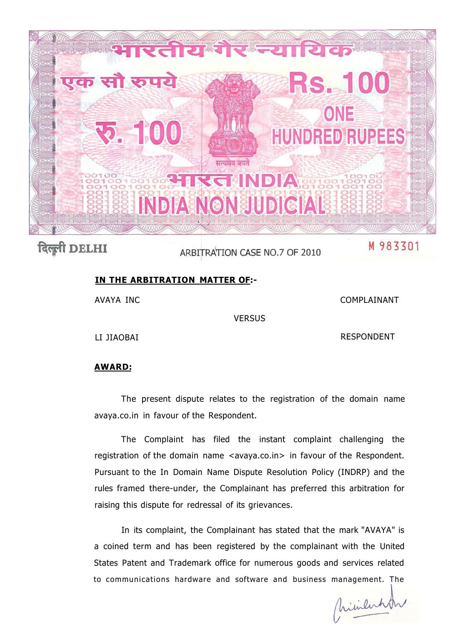

## दिल्ली DELHI

ARBITRATION CASE NO.7 OF 2010

## M 983301

## **IN THE ARBITRATION MATTER OF:-**

AVAYA INC

COMPLAINANT

**VERSUS** 

LI JIAOBAI

RESPONDENT

## **AWARD:**

The present dispute relates to the registration of the domain name avaya.co.in in favour of the Respondent.

The Complaint has filed the instant complaint challenging the registration of the domain name <avaya.co.in> in favour of the Respondent. Pursuant to the In Domain Name Dispute Resolution Policy (INDRP) and the rules framed there-under, the Complainant has preferred this arbitration for raising this dispute for redressal of its grievances.

In its complaint, the Complainant has stated that the mark "AVAYA" is a coined term and has been registered by the complainant with the United States Patent and Trademark office for numerous goods and services related to communications hardware and software and business management. The

Christenhar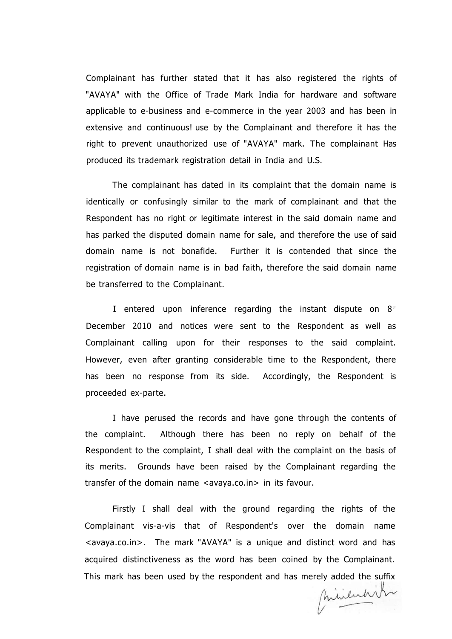Complainant has further stated that it has also registered the rights of "AVAYA" with the Office of Trade Mark India for hardware and software applicable to e-business and e-commerce in the year 2003 and has been in extensive and continuous! use by the Complainant and therefore it has the right to prevent unauthorized use of "AVAYA" mark. The complainant Has produced its trademark registration detail in India and U.S.

The complainant has dated in its complaint that the domain name is identically or confusingly similar to the mark of complainant and that the Respondent has no right or legitimate interest in the said domain name and has parked the disputed domain name for sale, and therefore the use of said domain name is not bonafide. Further it is contended that since the registration of domain name is in bad faith, therefore the said domain name be transferred to the Complainant.

I entered upon inference regarding the instant dispute on  $8<sup>th</sup>$ December 2010 and notices were sent to the Respondent as well as Complainant calling upon for their responses to the said complaint. However, even after granting considerable time to the Respondent, there has been no response from its side. Accordingly, the Respondent is proceeded ex-parte.

I have perused the records and have gone through the contents of the complaint. Although there has been no reply on behalf of the Respondent to the complaint, I shall deal with the complaint on the basis of its merits. Grounds have been raised by the Complainant regarding the transfer of the domain name <avaya.co.in> in its favour.

Firstly I shall deal with the ground regarding the rights of the Complainant vis-a-vis that of Respondent's over the domain name <avaya.co.in>. The mark "AVAYA" is a unique and distinct word and has acquired distinctiveness as the word has been coined by the Complainant. This mark has been used by the respondent and has merely added the suffix

minenhit